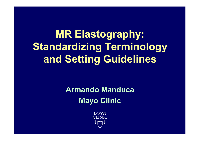MR Elastography: Standardizing Terminology and Setting Guidelines

> Armando Manduca Mayo Clinic

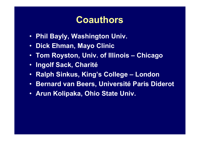#### Coauthors

- Phil Bayly, Washington Univ.
- Dick Ehman, Mayo Clinic
- **Coauthors<br>• Phil Bayly, Washington Univ.<br>• Dick Ehman, Mayo Clinic<br>• Tom Royston, Univ. of Illinois Chicago<br>• Ingolf Sack, Charité**
- 
- Coauthors<br>• Phil Bayly, Washington Univ.<br>• Dick Ehman, Mayo Clinic<br>• Tom Royston, Univ. of Illinois –<br>• Ingolf Sack, Charité<br>• Ralph Sinkus, King's College L • Phil Bayly, Washington Univ.<br>• Dick Ehman, Mayo Clinic<br>• Tom Royston, Univ. of Illinois –<br>• Ingolf Sack, Charité<br>• Ralph Sinkus, King's College – <br>• Bernard van Beers, Université P<br>• Arun Kolipaka, Ohio State Univ.
- **Coauthors<br>• Phil Bayly, Washington Univ.<br>• Dick Ehman, Mayo Clinic<br>• Tom Royston, Univ. of Illinois Chicago<br>• Ingolf Sack, Charité<br>• Ralph Sinkus, King's College London<br>• Bernard van Beers, Université Paris Diderot** • Phil Bayly, Washington Univ.<br>• Dick Ehman, Mayo Clinic<br>• Tom Royston, Univ. of Illinois – Chicago<br>• Ingolf Sack, Charité<br>• Ralph Sinkus, King's College – London<br>• Bernard van Beers, Université Paris Diderot<br>• Arun Kolipa
-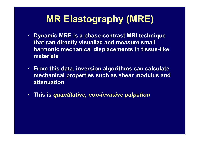# **MR Elastography (MRE)**<br>amic MRE is a phase-contrast MRI technique

- Dynamic MRE is a phase-contrast MRI technique that can directly visualize and measure small harmonic mechanical displacements in tissue-like materials
- From this data, inversion algorithms can calculate mechanical properties such as shear modulus and attenuation
- This is quantitative, non-invasive palpation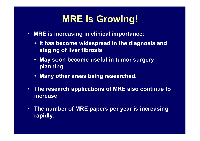## MRE is Growing!

- MRE is increasing in clinical importance:
	- It has become widespread in the diagnosis and staging of liver fibrosis
	- May soon become useful in tumor surgery planning
	- Many other areas being researched.
- The research applications of MRE also continue to increase.
- The number of MRE papers per year is increasing rapidly.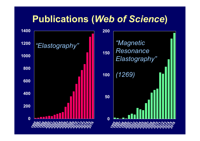#### Publications (Web of Science)

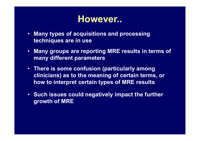#### However..

- Many types of acquisitions and processing techniques are in use
- Many groups are reporting MRE results in terms of many different parameters
- There is some confusion (particularly among clinicians) as to the meaning of certain terms, or how to interpret certain types of MRE results
- Such issues could negatively impact the further growth of MRE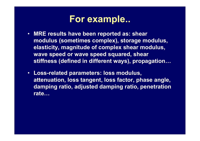- MRE results have been reported as: shear modulus (sometimes complex), storage modulus, elasticity, magnitude of complex shear modulus, wave speed or wave speed squared, shear stiffness (defined in different ways), propagation…
- Loss-related parameters: loss modulus, attenuation, loss tangent, loss factor, phase angle, damping ratio, adjusted damping ratio, penetration rate…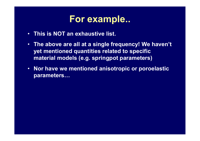- This is NOT an exhaustive list.
- The above are all at a single frequency! We haven't yet mentioned quantities related to specific **For example..**<br>This is NOT an exhaustive list.<br>The above are all at a single frequency! We haven't<br>yet mentioned quantities related to specific<br>material models (e.g. springpot parameters)<br>Nor have we mentioned anisotropic
- Nor have we mentioned anisotropic or poroelastic parameters…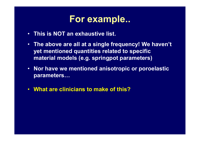- This is NOT an exhaustive list.
- The above are all at a single frequency! We haven't yet mentioned quantities related to specific **For example..**<br>This is NOT an exhaustive list.<br>The above are all at a single frequency! We haven't<br>yet mentioned quantities related to specific<br>material models (e.g. springpot parameters)<br>Nor have we mentioned anisotropic
- Nor have we mentioned anisotropic or poroelastic parameters…
- What are clinicians to make of this?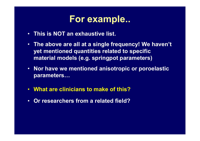- This is NOT an exhaustive list.
- The above are all at a single frequency! We haven't yet mentioned quantities related to specific **For example..**<br>This is NOT an exhaustive list.<br>The above are all at a single frequency! We haven't<br>yet mentioned quantities related to specific<br>material models (e.g. springpot parameters)<br>Nor have we mentioned anisotropic
- Nor have we mentioned anisotropic or poroelastic parameters…
- What are clinicians to make of this?
- Or researchers from a related field?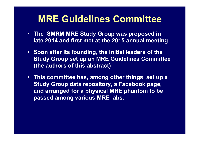#### MRE Guidelines Committee

- The ISMRM MRE Study Group was proposed in late 2014 and first met at the 2015 annual meeting
- Soon after its founding, the initial leaders of the Study Group set up an MRE Guidelines Committee (the authors of this abstract)
- This committee has, among other things, set up a Study Group data repository, a Facebook page, and arranged for a physical MRE phantom to be passed among various MRE labs.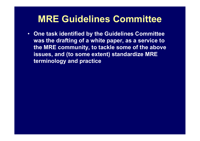#### MRE Guidelines Committee

• One task identified by the Guidelines Committee was the drafting of a white paper, as a service to the MRE community, to tackle some of the above issues, and (to some extent) standardize MRE terminology and practice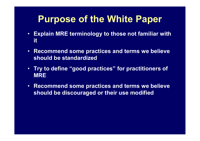## Purpose of the White Paper

- Explain MRE terminology to those not familiar with it
- Recommend some practices and terms we believe should be standardized
- Try to define "good practices" for practitioners of MRE
- Recommend some practices and terms we believe should be discouraged or their use modified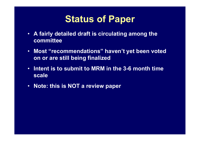## **Status of Paper**

- A fairly detailed draft is circulating among the committee
- Most "recommendations" haven't yet been voted on or are still being finalized
- Intent is to submit to MRM in the 3-6 month time scale
- Note: this is NOT a review paper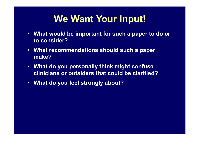# We Want Your Input!

- What would be important for such a paper to do or to consider?
- What recommendations should such a paper make?
- What do you personally think might confuse clinicians or outsiders that could be clarified?
- What do you feel strongly about?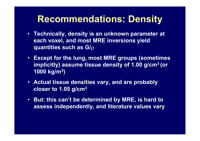## Recommendations: Density

- Technically, density is an unknown parameter at each voxel, and most MRE inversions yield quantities such as  $G/\rho$
- Except for the lung, most MRE groups (sometimes implicitly) assume tissue density of 1.00 g/cm3 (or 1000 kg/m<sup>3</sup>) ), and (1990), and (1990), and (1990), and (1990),  $\sim$
- Actual tissue densities vary, and are probably closer to 1.05 g/cm3
- But: this can't be determined by MRE, is hard to assess independently, and literature values vary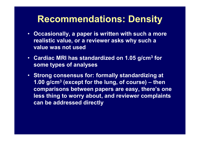## Recommendations: Density

- Occasionally, a paper is written with such a more realistic value, or a reviewer asks why such a value was not used
- Cardiac MRI has standardized on 1.05 g/cm<sup>3</sup> for the state of some types of analyses
- Strong consensus for: formally standardizing at 1.00 g/cm<sup>3</sup> (except for the lung, of course) – then (except for the lung, therefore the lung<br>(except for a reviewer asks why such a<br>not used<br>(a) has standardized on 1.05 g/cm<sup>3</sup> for<br>is of analyses<br>sensus for: formally standardizing at<br>(except for the lung, of course) – then comparisons between papers are easy, there's one less thing to worry about, and reviewer complaints can be addressed directly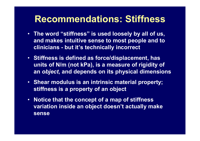#### Recommendations: Stiffness

- The word "stiffness" is used loosely by all of us, and makes intuitive sense to most people and to Recommendations: Stiffness<br>The word "stiffness" is used loosely by all of us,<br>and makes intuitive sense to most people and to<br>clinicians - but it's technically incorrect<br>Stiffness is defined as force/displacement, has
- Stiffness is defined as force/displacement, has units of N/m (not kPa), is a measure of rigidity of an object, and depends on its physical dimensions
- Shear modulus is an intrinsic material property; stiffness is a property of an object
- Notice that the concept of a map of stiffness variation inside an object doesn't actually make sense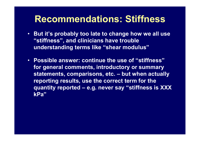#### Recommendations: Stiffness

- But it's probably too late to change how we all use "stiffness", and clinicians have trouble understanding terms like "shear modulus"
- Possible answer: continue the use of "stiffness" for general comments, introductory or summary Recommendations: Stiffness<br>
But it's probably too late to change how we all use<br>
"stiffness", and clinicians have trouble<br>
understanding terms like "shear modulus"<br>
Possible answer: continue the use of "stiffness"<br>
for gen reporting results, use the correct term for the But it's probably too late to change how we all use<br>"stiffness", and clinicians have trouble<br>understanding terms like "shear modulus"<br>Possible answer: continue the use of "stiffness"<br>for general comments, introductory or s kPa"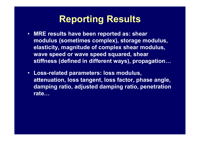## Reporting Results

- MRE results have been reported as: shear modulus (sometimes complex), storage modulus, elasticity, magnitude of complex shear modulus, wave speed or wave speed squared, shear stiffness (defined in different ways), propagation…
- Loss-related parameters: loss modulus, attenuation, loss tangent, loss factor, phase angle, damping ratio, adjusted damping ratio, penetration rate…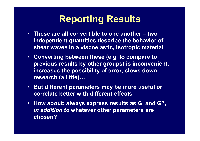## Reporting Results

- **Proporting Results<br>• These are all convertible to one another two<br>• independent quantities describe the behavior of<br>• shear waves in a viscoelastic, isotropic material** independent quantities describe the behavior of shear waves in a viscoelastic, isotropic material
- Converting between these (e.g. to compare to previous results by other groups) is inconvenient, increases the possibility of error, slows down research (a little)…
- But different parameters may be more useful or correlate better with different effects
- How about: always express results as G' and G'', in addition to whatever other parameters are chosen?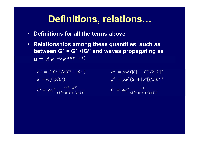#### Definitions, relations…

- Definitions for all the terms above
- Relationships among these quantities, such as between  $G^* = G' + iG''$  and waves propagating as  $\mathbf{u} = \hat{x} e^{-\alpha y} e^{i(\beta y - \omega t)}$

 $c_s^2 = 2|G^*|^2/\rho(G'+|G^*|)$  $k = \omega \sqrt{\left(\rho/G^*\right)}$ 

$$
G' = \rho \omega^2 \frac{(\beta^2 - \alpha^2)}{(\beta^2 - \alpha^2)^2 + (2\alpha\beta)^2}
$$

$$
\alpha^{2} = \rho \omega^{2} (|G|^{*} - G')/2|G^{*}|^{2}
$$

$$
\beta^{2} = \rho \omega^{2} (G' + |G^{*}|)/2|G^{*}|^{2}
$$

$$
G'' = \rho \omega^2 \frac{2\alpha\beta}{(\beta^2 - \alpha^2)^2 + (2\alpha\beta)^2}
$$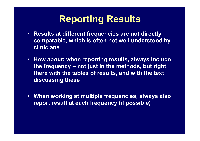## Reporting Results

- Results at different frequencies are not directly comparable, which is often not well understood by clinicians
- How about: when reporting results, always include Reporting Results<br>Results at different frequencies are not directly<br>comparable, which is often not well understood by<br>clinicians<br>How about: when reporting results, always include<br>the frequency – not just in the methods, bu there with the tables of results, and with the text discussing these
- When working at multiple frequencies, always also report result at each frequency (if possible)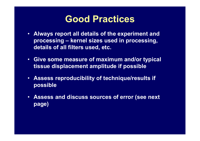#### Good Practices

- Always report all details of the experiment and **processing Good Practices**<br>Always report all details of the experiment and<br>processing – kernel sizes used in processing,<br>details of all filters used, etc. details of all filters used, etc.
- Give some measure of maximum and/or typical tissue displacement amplitude if possible
- Assess reproducibility of technique/results if possible
- Assess and discuss sources of error (see next page)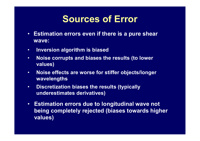## Sources of Error

- Estimation errors even if there is a pure shear wave:
- Inversion algorithm is biased
- Noise corrupts and biases the results (to lower values)
- Noise effects are worse for stiffer objects/longer wavelengths
- Discretization biases the results (typically underestimates derivatives)
- Estimation errors due to longitudinal wave not being completely rejected (biases towards higher values)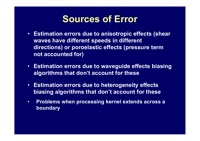#### Sources of Error

- Estimation errors due to anisotropic effects (shear waves have different speeds in different **Sources of Error**<br>Estimation errors due to anisotropic effects (shear<br>waves have different speeds in different<br>directions) or poroelastic effects (pressure term<br>not accounted for) not accounted for)
- Estimation errors due to waveguide effects biasing algorithms that don't account for these
- Estimation errors due to heterogeneity effects biasing algorithms that don't account for these
- Problems when processing kernel extends across a boundary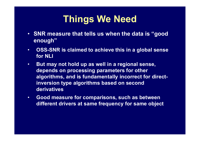# Things We Need

- SNR measure that tells us when the data is "good enough"
- OSS-SNR is claimed to achieve this in a global sense for NLI
- But may not hold up as well in a regional sense, depends on processing parameters for other algorithms, and is fundamentally incorrect for directinversion type algorithms based on second **derivatives**
- Good measure for comparisons, such as between different drivers at same frequency for same object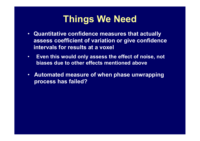## Things We Need

- Quantitative confidence measures that actually assess coefficient of variation or give confidence intervals for results at a voxel
- Even this would only assess the effect of noise, not biases due to other effects mentioned above
- Automated measure of when phase unwrapping process has failed?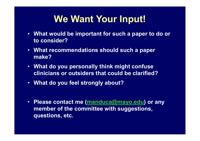# We Want Your Input!

- What would be important for such a paper to do or to consider?
- What recommendations should such a paper make?
- What do you personally think might confuse clinicians or outsiders that could be clarified?
- What do you feel strongly about?
- Please contact me (manduca@mayo.edu) or any member of the committee with suggestions, questions, etc.